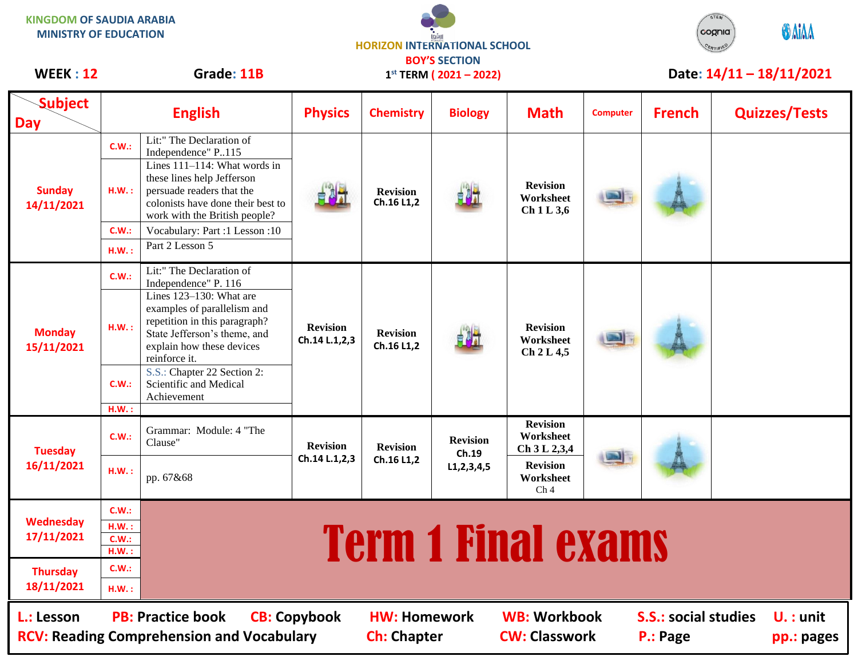| <b>KINGDOM OF SAUDIA ARABIA</b><br><b>MINISTRY OF EDUCATION</b>                                                                                                                                                                                                                              |                                  |                                                                                                                                                                                                                                                          | <b>HORIZON INTERNATIONAL SCHOOL</b><br><b>BOY'S SECTION</b> |                               |                                            |                                                                                                 |                          |               | STEM<br>cognia | <b>GAIAA</b>         |  |
|----------------------------------------------------------------------------------------------------------------------------------------------------------------------------------------------------------------------------------------------------------------------------------------------|----------------------------------|----------------------------------------------------------------------------------------------------------------------------------------------------------------------------------------------------------------------------------------------------------|-------------------------------------------------------------|-------------------------------|--------------------------------------------|-------------------------------------------------------------------------------------------------|--------------------------|---------------|----------------|----------------------|--|
| Grade: 11B<br><b>WEEK: 12</b>                                                                                                                                                                                                                                                                |                                  | $1^{st}$ TERM (2021 - 2022)                                                                                                                                                                                                                              |                                                             |                               |                                            |                                                                                                 | Date: 14/11 - 18/11/2021 |               |                |                      |  |
| <b>Subject</b><br>Day                                                                                                                                                                                                                                                                        |                                  | <b>English</b>                                                                                                                                                                                                                                           | <b>Physics</b>                                              | <b>Chemistry</b>              | <b>Biology</b>                             | <b>Math</b>                                                                                     | <b>Computer</b>          | <b>French</b> |                | <b>Quizzes/Tests</b> |  |
| <b>Sunday</b><br>14/11/2021                                                                                                                                                                                                                                                                  | C.W.:<br>H.W.:                   | Lit:" The Declaration of<br>Independence" P115<br>Lines $111-114$ : What words in<br>these lines help Jefferson<br>persuade readers that the<br>colonists have done their best to<br>work with the British people?                                       |                                                             | <b>Revision</b><br>Ch.16 L1,2 |                                            | <b>Revision</b><br>Worksheet<br>Ch1L3,6                                                         |                          |               |                |                      |  |
|                                                                                                                                                                                                                                                                                              | C.W.:<br>H.W.:                   | Vocabulary: Part :1 Lesson :10<br>Part 2 Lesson 5                                                                                                                                                                                                        |                                                             |                               |                                            |                                                                                                 |                          |               |                |                      |  |
| <b>Monday</b><br>15/11/2021                                                                                                                                                                                                                                                                  | C.W.:<br>H.W.:                   | Lit:" The Declaration of<br>Independence" P. 116<br>Lines 123-130: What are<br>examples of parallelism and<br>repetition in this paragraph?<br>State Jefferson's theme, and<br>explain how these devices<br>reinforce it.<br>S.S.: Chapter 22 Section 2: | <b>Revision</b><br>Ch.14 L.1,2,3                            | <b>Revision</b><br>Ch.16 L1,2 |                                            | <b>Revision</b><br>Worksheet<br>Ch 2 L 4,5                                                      |                          |               |                |                      |  |
|                                                                                                                                                                                                                                                                                              | C.W.:<br>H.W.:                   | Scientific and Medical<br>Achievement                                                                                                                                                                                                                    |                                                             |                               |                                            |                                                                                                 |                          |               |                |                      |  |
| <b>Tuesday</b><br>16/11/2021                                                                                                                                                                                                                                                                 | C.W.:                            | Grammar: Module: 4 "The<br>Clause"                                                                                                                                                                                                                       | <b>Revision</b><br>Ch.14 L.1,2,3                            | <b>Revision</b><br>Ch.16 L1,2 | <b>Revision</b><br>Ch.19<br>L1, 2, 3, 4, 5 | <b>Revision</b><br>Worksheet<br>Ch 3 L 2,3,4<br><b>Revision</b><br>Worksheet<br>Ch <sub>4</sub> |                          |               |                |                      |  |
|                                                                                                                                                                                                                                                                                              | H.W.:                            | pp. 67&68                                                                                                                                                                                                                                                |                                                             |                               |                                            |                                                                                                 |                          |               |                |                      |  |
| Wednesday<br>17/11/2021                                                                                                                                                                                                                                                                      | C.W.:<br>H.W.:<br>C.W.:<br>H.W.: | <b>Term 1 Final exams</b>                                                                                                                                                                                                                                |                                                             |                               |                                            |                                                                                                 |                          |               |                |                      |  |
| <b>Thursday</b><br>18/11/2021                                                                                                                                                                                                                                                                | C.W.:<br>H.W.:                   |                                                                                                                                                                                                                                                          |                                                             |                               |                                            |                                                                                                 |                          |               |                |                      |  |
| <b>WB: Workbook</b><br><b>S.S.: social studies</b><br><b>PB: Practice book</b><br><b>CB: Copybook</b><br><b>HW: Homework</b><br>$U_{\cdot}$ : unit<br>L.: Lesson<br><b>RCV: Reading Comprehension and Vocabulary</b><br><b>CW: Classwork</b><br><b>Ch: Chapter</b><br>P.: Page<br>pp.: pages |                                  |                                                                                                                                                                                                                                                          |                                                             |                               |                                            |                                                                                                 |                          |               |                |                      |  |